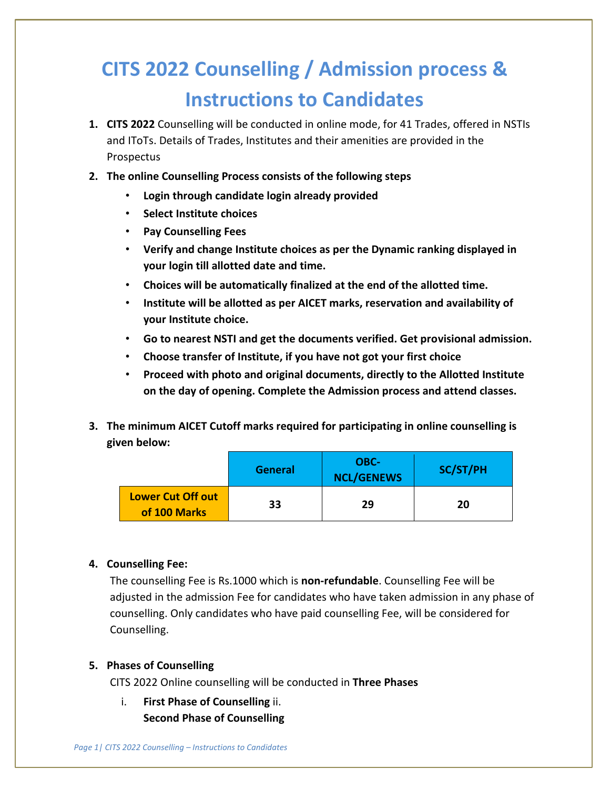# **CITS 2022 Counselling / Admission process & Instructions to Candidates**

- **1. CITS 2022** Counselling will be conducted in online mode, for 41 Trades, offered in NSTIs and IToTs. Details of Trades, Institutes and their amenities are provided in the **Prospectus**
- **2. The online Counselling Process consists of the following steps** 
	- **Login through candidate login already provided**
	- **Select Institute choices**
	- **Pay Counselling Fees**
	- **Verify and change Institute choices as per the Dynamic ranking displayed in your login till allotted date and time.**
	- **Choices will be automatically finalized at the end of the allotted time.**
	- **Institute will be allotted as per AICET marks, reservation and availability of your Institute choice.**
	- **Go to nearest NSTI and get the documents verified. Get provisional admission.**
	- **Choose transfer of Institute, if you have not got your first choice**
	- **Proceed with photo and original documents, directly to the Allotted Institute on the day of opening. Complete the Admission process and attend classes.**
- **3. The minimum AICET Cutoff marks required for participating in online counselling is given below:**

|                                          | <b>General</b> | OBC-<br><b>NCL/GENEWS</b> | SC/ST/PH |
|------------------------------------------|----------------|---------------------------|----------|
| <b>Lower Cut Off out</b><br>of 100 Marks | 33             | 29                        | 20       |

## **4. Counselling Fee:**

The counselling Fee is Rs.1000 which is **non-refundable**. Counselling Fee will be adjusted in the admission Fee for candidates who have taken admission in any phase of counselling. Only candidates who have paid counselling Fee, will be considered for Counselling.

## **5. Phases of Counselling**

CITS 2022 Online counselling will be conducted in **Three Phases** 

i. **First Phase of Counselling** ii. **Second Phase of Counselling**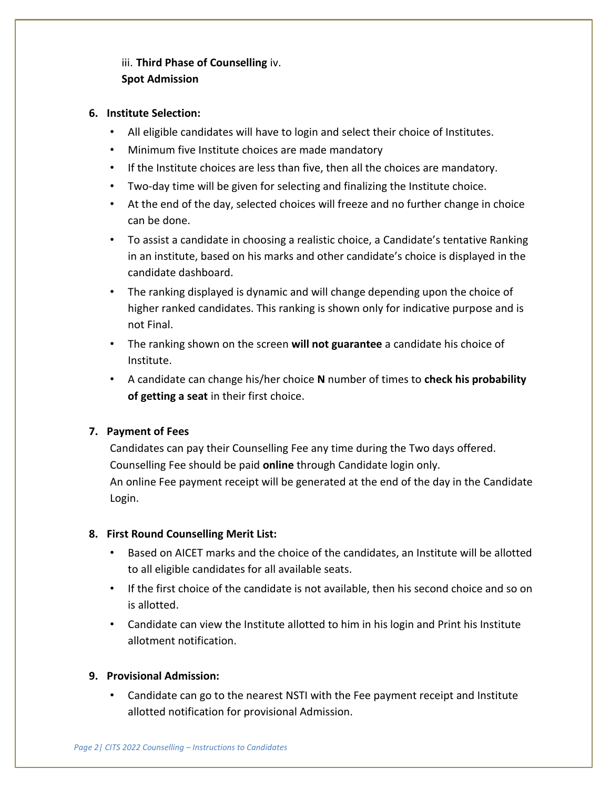# iii. **Third Phase of Counselling** iv. **Spot Admission**

## **6. Institute Selection:**

- All eligible candidates will have to login and select their choice of Institutes.
- Minimum five Institute choices are made mandatory
- If the Institute choices are less than five, then all the choices are mandatory.
- Two-day time will be given for selecting and finalizing the Institute choice.
- At the end of the day, selected choices will freeze and no further change in choice can be done.
- To assist a candidate in choosing a realistic choice, a Candidate's tentative Ranking in an institute, based on his marks and other candidate's choice is displayed in the candidate dashboard.
- The ranking displayed is dynamic and will change depending upon the choice of higher ranked candidates. This ranking is shown only for indicative purpose and is not Final.
- The ranking shown on the screen **will not guarantee** a candidate his choice of Institute.
- A candidate can change his/her choice **N** number of times to **check his probability of getting a seat** in their first choice.

## **7. Payment of Fees**

Candidates can pay their Counselling Fee any time during the Two days offered. Counselling Fee should be paid **online** through Candidate login only.

An online Fee payment receipt will be generated at the end of the day in the Candidate Login.

## **8. First Round Counselling Merit List:**

- Based on AICET marks and the choice of the candidates, an Institute will be allotted to all eligible candidates for all available seats.
- If the first choice of the candidate is not available, then his second choice and so on is allotted.
- Candidate can view the Institute allotted to him in his login and Print his Institute allotment notification.

## **9. Provisional Admission:**

• Candidate can go to the nearest NSTI with the Fee payment receipt and Institute allotted notification for provisional Admission.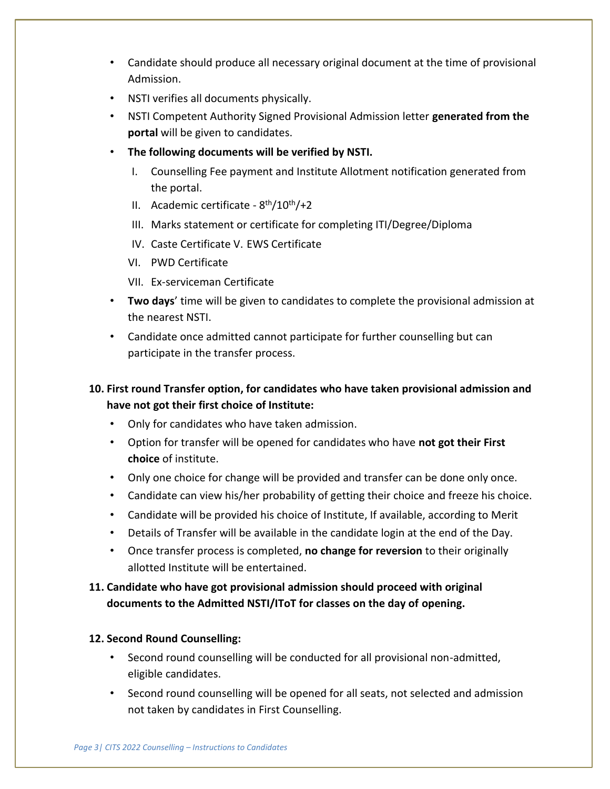- Candidate should produce all necessary original document at the time of provisional Admission.
- NSTI verifies all documents physically.
- NSTI Competent Authority Signed Provisional Admission letter **generated from the portal** will be given to candidates.
- **The following documents will be verified by NSTI.** 
	- I. Counselling Fee payment and Institute Allotment notification generated from the portal.
	- II. Academic certificate 8<sup>th</sup>/10<sup>th</sup>/+2
	- III. Marks statement or certificate for completing ITI/Degree/Diploma
	- IV. Caste Certificate V. EWS Certificate
	- VI. PWD Certificate
	- VII. Ex-serviceman Certificate
- **Two days**' time will be given to candidates to complete the provisional admission at the nearest NSTI.
- Candidate once admitted cannot participate for further counselling but can participate in the transfer process.

# **10. First round Transfer option, for candidates who have taken provisional admission and have not got their first choice of Institute:**

- Only for candidates who have taken admission.
- Option for transfer will be opened for candidates who have **not got their First choice** of institute.
- Only one choice for change will be provided and transfer can be done only once.
- Candidate can view his/her probability of getting their choice and freeze his choice.
- Candidate will be provided his choice of Institute, If available, according to Merit
- Details of Transfer will be available in the candidate login at the end of the Day.
- Once transfer process is completed, **no change for reversion** to their originally allotted Institute will be entertained.

# **11. Candidate who have got provisional admission should proceed with original documents to the Admitted NSTI/IToT for classes on the day of opening.**

## **12. Second Round Counselling:**

- Second round counselling will be conducted for all provisional non-admitted, eligible candidates.
- Second round counselling will be opened for all seats, not selected and admission not taken by candidates in First Counselling.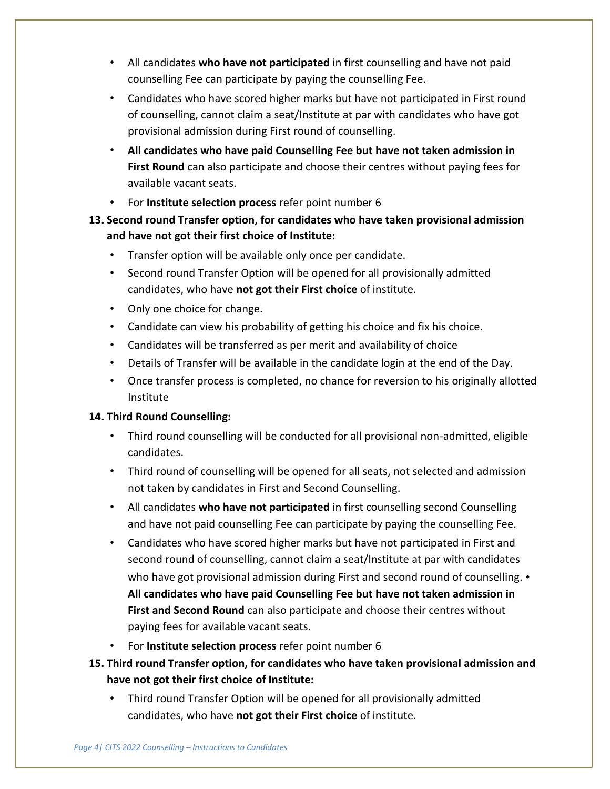- All candidates **who have not participated** in first counselling and have not paid counselling Fee can participate by paying the counselling Fee.
- Candidates who have scored higher marks but have not participated in First round of counselling, cannot claim a seat/Institute at par with candidates who have got provisional admission during First round of counselling.
- **All candidates who have paid Counselling Fee but have not taken admission in First Round** can also participate and choose their centres without paying fees for available vacant seats.
- For **Institute selection process** refer point number 6
- **13. Second round Transfer option, for candidates who have taken provisional admission and have not got their first choice of Institute:** 
	- Transfer option will be available only once per candidate.
	- Second round Transfer Option will be opened for all provisionally admitted candidates, who have **not got their First choice** of institute.
	- Only one choice for change.
	- Candidate can view his probability of getting his choice and fix his choice.
	- Candidates will be transferred as per merit and availability of choice
	- Details of Transfer will be available in the candidate login at the end of the Day.
	- Once transfer process is completed, no chance for reversion to his originally allotted Institute

## **14. Third Round Counselling:**

- Third round counselling will be conducted for all provisional non-admitted, eligible candidates.
- Third round of counselling will be opened for all seats, not selected and admission not taken by candidates in First and Second Counselling.
- All candidates **who have not participated** in first counselling second Counselling and have not paid counselling Fee can participate by paying the counselling Fee.
- Candidates who have scored higher marks but have not participated in First and second round of counselling, cannot claim a seat/Institute at par with candidates who have got provisional admission during First and second round of counselling. • **All candidates who have paid Counselling Fee but have not taken admission in First and Second Round** can also participate and choose their centres without paying fees for available vacant seats.
- For **Institute selection process** refer point number 6
- **15. Third round Transfer option, for candidates who have taken provisional admission and have not got their first choice of Institute:** 
	- Third round Transfer Option will be opened for all provisionally admitted candidates, who have **not got their First choice** of institute.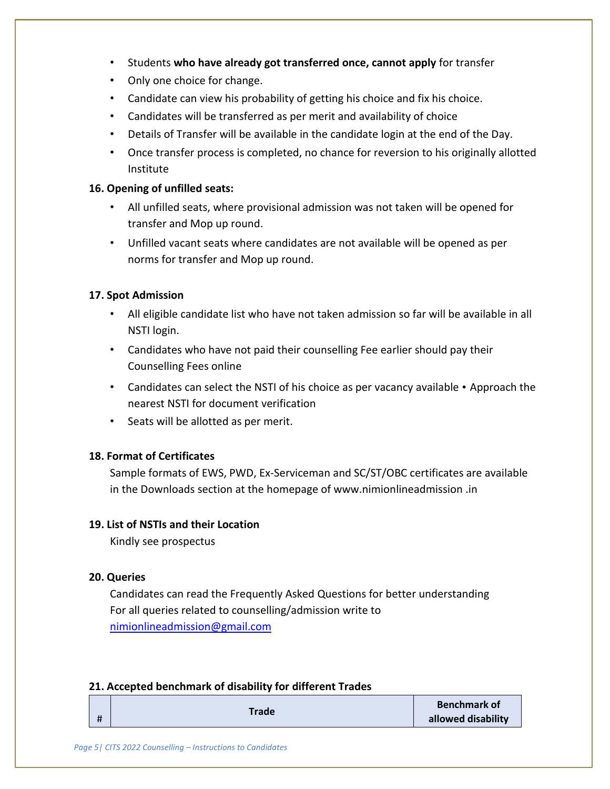- Students **who have already got transferred once, cannot apply** for transfer
- Only one choice for change.
- Candidate can view his probability of getting his choice and fix his choice.
- Candidates will be transferred as per merit and availability of choice
- Details of Transfer will be available in the candidate login at the end of the Day.
- Once transfer process is completed, no chance for reversion to his originally allotted Institute

#### **16. Opening of unfilled seats:**

- All unfilled seats, where provisional admission was not taken will be opened for transfer and Mop up round.
- Unfilled vacant seats where candidates are not available will be opened as per norms for transfer and Mop up round.

#### **17. Spot Admission**

- All eligible candidate list who have not taken admission so far will be available in all NSTI login.
- Candidates who have not paid their counselling Fee earlier should pay their Counselling Fees online
- Candidates can select the NSTI of his choice as per vacancy available Approach the nearest NSTI for document verification
- Seats will be allotted as per merit.

#### **18. Format of Certificates**

Sample formats of EWS, PWD, Ex-Serviceman and SC/ST/OBC certificates are available in the Downloads section at the homepage of www.nimionlineadmission .in

#### **19. List of NSTIs and their Location**

Kindly see prospectus

#### **20. Queries**

Candidates can read the Frequently Asked Questions for better understanding For all queries related to counselling/admission write to nimionlineadmission@gmail.com

#### **21. Accepted benchmark of disability for different Trades**

|  |   | Trade | <b>Benchmark of</b> |
|--|---|-------|---------------------|
|  | Ħ |       | allowed disability  |
|  |   |       |                     |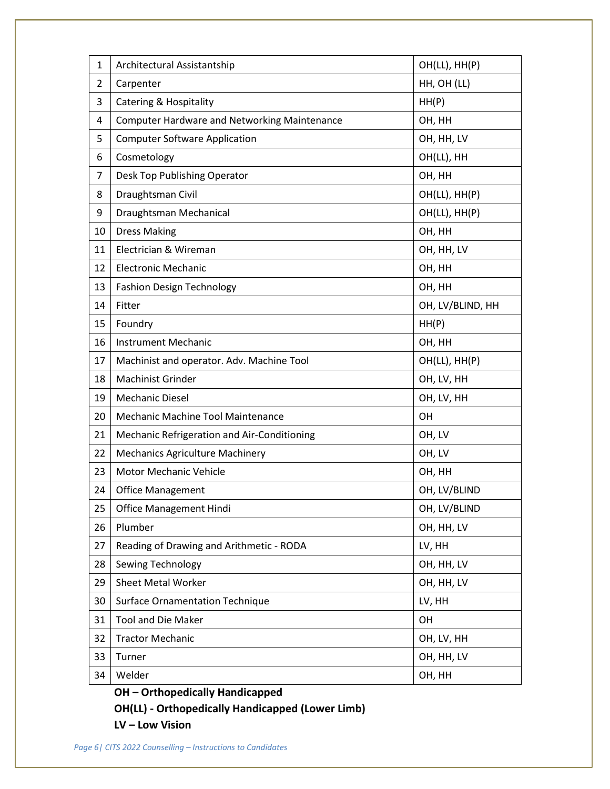| $\mathbf{1}$   | Architectural Assistantship                         | OH(LL), HH(P)    |
|----------------|-----------------------------------------------------|------------------|
| $\overline{2}$ | Carpenter                                           | HH, OH (LL)      |
| 3              | <b>Catering &amp; Hospitality</b>                   | HH(P)            |
| 4              | <b>Computer Hardware and Networking Maintenance</b> | OH, HH           |
| 5              | <b>Computer Software Application</b>                | OH, HH, LV       |
| 6              | Cosmetology                                         | OH(LL), HH       |
| 7              | Desk Top Publishing Operator                        | OH, HH           |
| 8              | Draughtsman Civil                                   | OH(LL), HH(P)    |
| 9              | Draughtsman Mechanical                              | OH(LL), HH(P)    |
| 10             | <b>Dress Making</b>                                 | OH, HH           |
| 11             | Electrician & Wireman                               | OH, HH, LV       |
| 12             | <b>Electronic Mechanic</b>                          | OH, HH           |
| 13             | <b>Fashion Design Technology</b>                    | OH, HH           |
| 14             | Fitter                                              | OH, LV/BLIND, HH |
| 15             | Foundry                                             | HH(P)            |
| 16             | <b>Instrument Mechanic</b>                          | OH, HH           |
| 17             | Machinist and operator. Adv. Machine Tool           | OH(LL), HH(P)    |
| 18             | <b>Machinist Grinder</b>                            | OH, LV, HH       |
| 19             | <b>Mechanic Diesel</b>                              | OH, LV, HH       |
| 20             | Mechanic Machine Tool Maintenance                   | OH               |
| 21             | Mechanic Refrigeration and Air-Conditioning         | OH, LV           |
| 22             | <b>Mechanics Agriculture Machinery</b>              | OH, LV           |
| 23             | <b>Motor Mechanic Vehicle</b>                       | OH, HH           |
| 24             | <b>Office Management</b>                            | OH, LV/BLIND     |
| 25             | <b>Office Management Hindi</b>                      | OH, LV/BLIND     |
| 26             | Plumber                                             | OH, HH, LV       |
| 27             | Reading of Drawing and Arithmetic - RODA            | LV, HH           |
| 28             | Sewing Technology                                   | OH, HH, LV       |
| 29             | <b>Sheet Metal Worker</b>                           | OH, HH, LV       |
| 30             | <b>Surface Ornamentation Technique</b>              | LV, HH           |
| 31             | <b>Tool and Die Maker</b>                           | OH               |
| 32             | <b>Tractor Mechanic</b>                             | OH, LV, HH       |
| 33             | Turner                                              | OH, HH, LV       |
| 34             | Welder                                              | OH, HH           |

**OH – Orthopedically Handicapped** 

**OH(LL) - Orthopedically Handicapped (Lower Limb)** 

**LV – Low Vision**